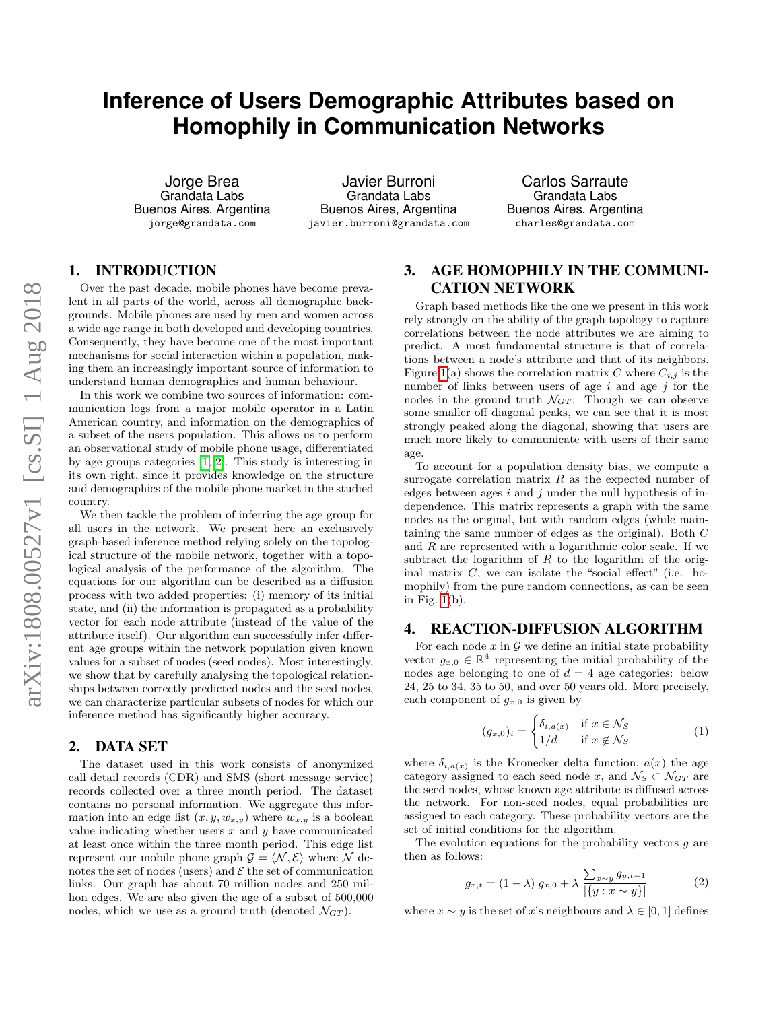# **Inference of Users Demographic Attributes based on Homophily in Communication Networks**

Jorge Brea Grandata Labs Buenos Aires, Argentina jorge@grandata.com

Javier Burroni Grandata Labs Buenos Aires, Argentina javier.burroni@grandata.com

Carlos Sarraute Grandata Labs Buenos Aires, Argentina charles@grandata.com

## 1. INTRODUCTION

Over the past decade, mobile phones have become prevalent in all parts of the world, across all demographic backgrounds. Mobile phones are used by men and women across a wide age range in both developed and developing countries. Consequently, they have become one of the most important mechanisms for social interaction within a population, making them an increasingly important source of information to understand human demographics and human behaviour.

In this work we combine two sources of information: communication logs from a major mobile operator in a Latin American country, and information on the demographics of a subset of the users population. This allows us to perform an observational study of mobile phone usage, differentiated by age groups categories [\[1,](#page-2-0) [2\]](#page-2-1). This study is interesting in its own right, since it provides knowledge on the structure and demographics of the mobile phone market in the studied country.

We then tackle the problem of inferring the age group for all users in the network. We present here an exclusively graph-based inference method relying solely on the topological structure of the mobile network, together with a topological analysis of the performance of the algorithm. The equations for our algorithm can be described as a diffusion process with two added properties: (i) memory of its initial state, and (ii) the information is propagated as a probability vector for each node attribute (instead of the value of the attribute itself). Our algorithm can successfully infer different age groups within the network population given known values for a subset of nodes (seed nodes). Most interestingly, we show that by carefully analysing the topological relationships between correctly predicted nodes and the seed nodes, we can characterize particular subsets of nodes for which our inference method has significantly higher accuracy.

## 2. DATA SET

The dataset used in this work consists of anonymized call detail records (CDR) and SMS (short message service) records collected over a three month period. The dataset contains no personal information. We aggregate this information into an edge list  $(x, y, w_{x,y})$  where  $w_{x,y}$  is a boolean value indicating whether users  $x$  and  $y$  have communicated at least once within the three month period. This edge list represent our mobile phone graph  $\mathcal{G} = \langle \mathcal{N}, \mathcal{E} \rangle$  where N denotes the set of nodes (users) and  $\mathcal E$  the set of communication links. Our graph has about 70 million nodes and 250 million edges. We are also given the age of a subset of 500,000 nodes, which we use as a ground truth (denoted  $\mathcal{N}_{GT}$ ).

## 3. AGE HOMOPHILY IN THE COMMUNI-CATION NETWORK

Graph based methods like the one we present in this work rely strongly on the ability of the graph topology to capture correlations between the node attributes we are aiming to predict. A most fundamental structure is that of correlations between a node's attribute and that of its neighbors. Figure [1\(](#page-1-0)a) shows the correlation matrix C where  $C_{i,j}$  is the number of links between users of age  $i$  and age  $j$  for the nodes in the ground truth  $\mathcal{N}_{GT}$ . Though we can observe some smaller off diagonal peaks, we can see that it is most strongly peaked along the diagonal, showing that users are much more likely to communicate with users of their same age.

To account for a population density bias, we compute a surrogate correlation matrix  $R$  as the expected number of edges between ages  $i$  and  $j$  under the null hypothesis of independence. This matrix represents a graph with the same nodes as the original, but with random edges (while maintaining the same number of edges as the original). Both C and  $R$  are represented with a logarithmic color scale. If we subtract the logarithm of  $R$  to the logarithm of the original matrix  $C$ , we can isolate the "social effect" (i.e. homophily) from the pure random connections, as can be seen in Fig.  $1(b)$ .

## 4. REACTION-DIFFUSION ALGORITHM

For each node  $x$  in  $\mathcal G$  we define an initial state probability vector  $g_{x,0} \in \mathbb{R}^4$  representing the initial probability of the nodes age belonging to one of  $d = 4$  age categories: below 24, 25 to 34, 35 to 50, and over 50 years old. More precisely, each component of  $g_{x,0}$  is given by

$$
(g_{x,0})_i = \begin{cases} \delta_{i,a(x)} & \text{if } x \in \mathcal{N}_S \\ 1/d & \text{if } x \notin \mathcal{N}_S \end{cases} \tag{1}
$$

where  $\delta_{i,a(x)}$  is the Kronecker delta function,  $a(x)$  the age category assigned to each seed node x, and  $\mathcal{N}_S \subset \mathcal{N}_{GT}$  are the seed nodes, whose known age attribute is diffused across the network. For non-seed nodes, equal probabilities are assigned to each category. These probability vectors are the set of initial conditions for the algorithm.

The evolution equations for the probability vectors  $g$  are then as follows:

$$
g_{x,t} = (1 - \lambda) g_{x,0} + \lambda \frac{\sum_{x \sim y} g_{y,t-1}}{\left| \{ y : x \sim y \} \right|} \tag{2}
$$

<span id="page-0-0"></span>where  $x \sim y$  is the set of x's neighbours and  $\lambda \in [0, 1]$  defines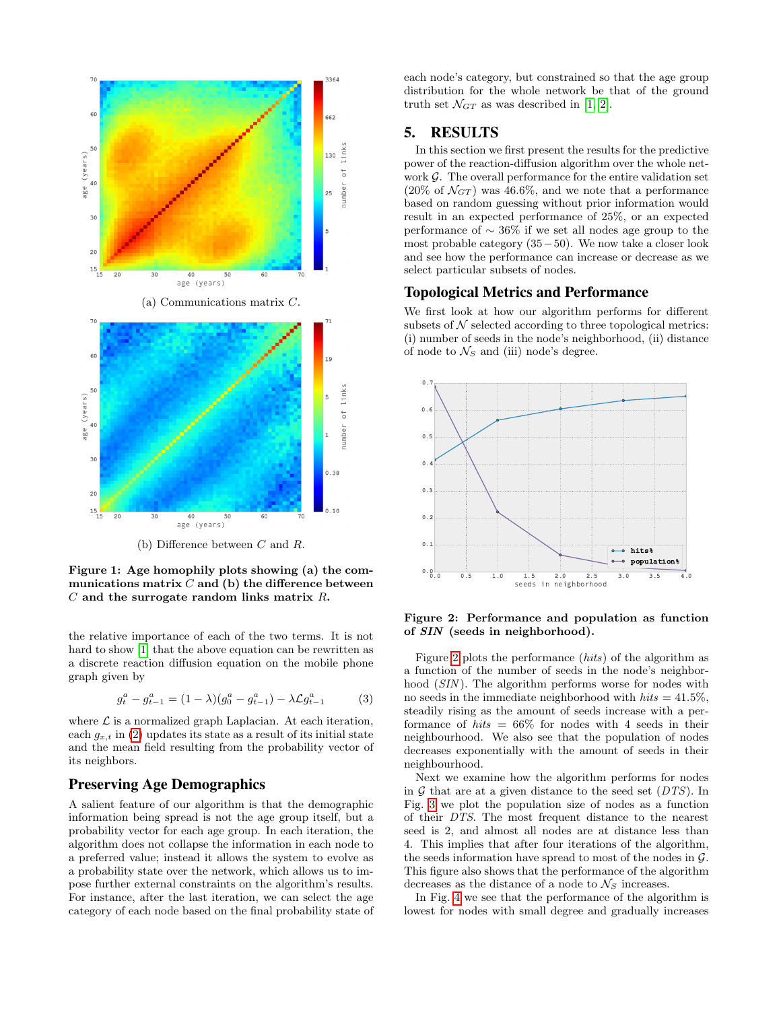

<span id="page-1-0"></span>Figure 1: Age homophily plots showing (a) the communications matrix  $C$  and (b) the difference between  $C$  and the surrogate random links matrix  $R$ .

the relative importance of each of the two terms. It is not hard to show [\[1\]](#page-2-0) that the above equation can be rewritten as a discrete reaction diffusion equation on the mobile phone graph given by

$$
g_t^a - g_{t-1}^a = (1 - \lambda)(g_0^a - g_{t-1}^a) - \lambda \mathcal{L} g_{t-1}^a \tag{3}
$$

where  $\mathcal L$  is a normalized graph Laplacian. At each iteration, each  $g_{x,t}$  in [\(2\)](#page-0-0) updates its state as a result of its initial state and the mean field resulting from the probability vector of its neighbors.

## Preserving Age Demographics

A salient feature of our algorithm is that the demographic information being spread is not the age group itself, but a probability vector for each age group. In each iteration, the algorithm does not collapse the information in each node to a preferred value; instead it allows the system to evolve as a probability state over the network, which allows us to impose further external constraints on the algorithm's results. For instance, after the last iteration, we can select the age category of each node based on the final probability state of each node's category, but constrained so that the age group distribution for the whole network be that of the ground truth set  $\mathcal{N}_{GT}$  as was described in [\[1,](#page-2-0) [2\]](#page-2-1).

## 5. RESULTS

In this section we first present the results for the predictive power of the reaction-diffusion algorithm over the whole network  $\mathcal G$ . The overall performance for the entire validation set  $(20\% \text{ of } \mathcal{N}_{GT})$  was 46.6%, and we note that a performance based on random guessing without prior information would result in an expected performance of 25%, or an expected performance of ∼ 36% if we set all nodes age group to the most probable category (35−50). We now take a closer look and see how the performance can increase or decrease as we select particular subsets of nodes.

## Topological Metrics and Performance

We first look at how our algorithm performs for different subsets of  $N$  selected according to three topological metrics: (i) number of seeds in the node's neighborhood, (ii) distance of node to  $\mathcal{N}_S$  and (iii) node's degree.



<span id="page-1-1"></span>Figure 2: Performance and population as function of SIN (seeds in neighborhood).

Figure [2](#page-1-1) plots the performance (hits) of the algorithm as a function of the number of seeds in the node's neighborhood (SIN). The algorithm performs worse for nodes with no seeds in the immediate neighborhood with  $hits = 41.5\%$ . steadily rising as the amount of seeds increase with a performance of hits  $= 66\%$  for nodes with 4 seeds in their neighbourhood. We also see that the population of nodes decreases exponentially with the amount of seeds in their neighbourhood.

Next we examine how the algorithm performs for nodes in  $G$  that are at a given distance to the seed set  $(DTS)$ . In Fig. [3](#page-2-2) we plot the population size of nodes as a function of their DTS. The most frequent distance to the nearest seed is 2, and almost all nodes are at distance less than 4. This implies that after four iterations of the algorithm, the seeds information have spread to most of the nodes in  $\mathcal{G}$ . This figure also shows that the performance of the algorithm decreases as the distance of a node to  $\mathcal{N}_S$  increases.

In Fig. [4](#page-2-3) we see that the performance of the algorithm is lowest for nodes with small degree and gradually increases